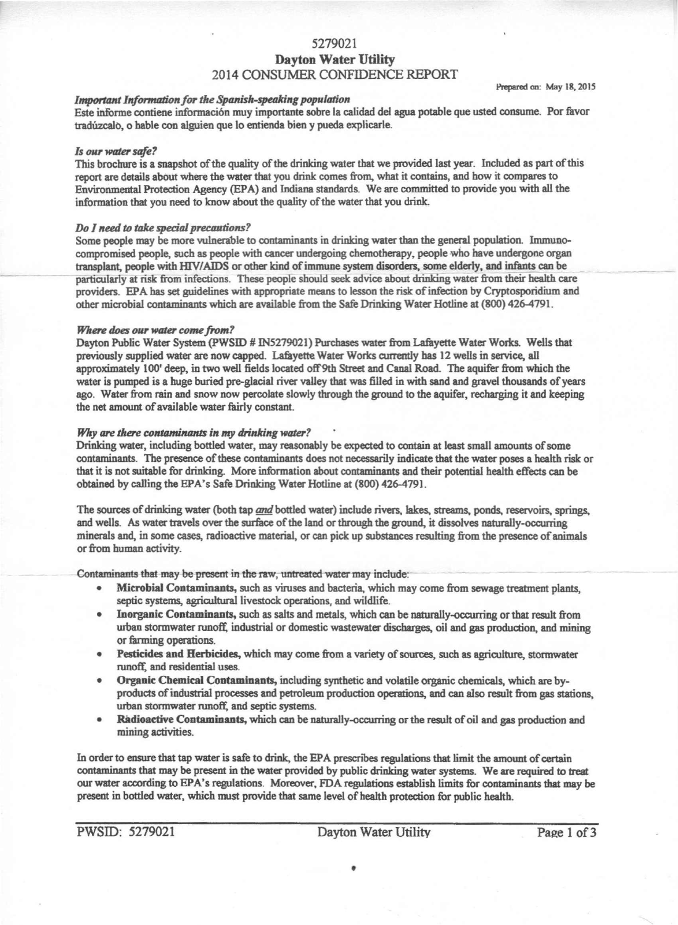# 5279021 Dayton Water Utility 2014 CONSUMER CONFIDENCE REPORT

Prepared on: May 18, *20lS*

# *Important In/omuztionfor the Spanish-speaking population*

Este informe contiene informacion muy importante sabre la calidad del agua potable que usted consume. Por favor tradúzcalo, o hable con alguien que lo entienda bien y pueda explicarle.

## *Is 01U' water safe?*

This brochure is a snapshot of the quality of the drinking water that we provided last year. Included as part of this report are details about where the water that you drink comes from. what it contains, and how it compares to Environmental Protection Agency (EPA) and Indiana standards. We are committed to provide you with all the information that you need to know about the quality of the water that you drink.

## *Do I* need to take special precautions?

Some people may be more vulnerable to contaminants in drinking water than the general population. Immunocompromised people. such as people with cancer undergoing chemotherapy. people who have undergone organ transplant. people with HIV/AIDS or other kind of immune system disorders. some elderly. and infants can be \_ particularly at risk from infections. These people should seek advice about drinking water from their health care providers. EPA has set guidelines with appropriate means to lesson the risk of infection by Cryptosporidium and other microbial contaminants which are available from the Safe Drinking Water Hotline at (800) 426-4791.

### *Where does our water come from?*

Dayton Public Water System (pWSID # INS279021) Purchases water from Lafayette Water Works. Wells that previously supplied water are now capped. Lafayette Water Works currently has 12 wells in service, all approximately 100' deep. in two well fields located off9th Street and Canal Road. The aquifer from which the water is pumped is a huge buried pre-glacial river valley that was filled in with sand and gravel thousands of years ago. Water from rain and snow now percolate slowly through the ground to the aquifer, recharging it and keeping the net amount of available water fairly constant.

## *Why* are there contaminants in my drinking water?

Drinking water, including bottled water, may reasonably be expected to contain at least small amounts of some contaminants. The presence of these contaminants does not necessarily indicate that the water poses a health risk or that it is not suitable for drinking. More information about contaminants and their potential health effects can be obtained by calling the EPA's Safe Drinking Water Hotline at (800) 426-4791.

The sources of drinking water (both tap *and* bottled water) include rivers. lakes, streams, ponds, reservoirs, springs. and wells. As water travels over the surface of the land or through the ground, it dissolves naturally-occurring minerals and, in some cases, radioactive material, or can pick up substances resulting from the presence of animals or from human activity.

Contaminants that-may be present in the raw, untreated water-may include:

- Microbial Contaminants, such as viruses and bacteria, which may come from sewage treatment plants, septic systems, agricultural livestock operations, and wildlife.
- Inorganic Contaminants, such as salts and metals, which can be naturally-occurring or that result from urban stormwater runoff; industrial or domestic wastewater discharges, oil and gas production, and mining or farming operations.
- Pesticides and Herbicides, which may come from a variety of sources, such as agriculture, stormwater runoff; and residential uses.
- Organic Chemical Contaminants, including synthetic and volatile organic chemicals, which are byproducts of industrial processes and petroleum production operations, and can also result from gas stations, urban stormwater runoff, and septic systems.
- Radioactive Contaminants, which can be naturally-occurring or the result of oil and gas production and mining activities.

In order to ensure that tap water is safe to drink, the EPA prescribes regulations that limit the amount of certain contaminants that may be present in the water provided by public drinking water systems. We are required to treat our water according to EPA's regulations. Moreover, FDA regulations establish limits for contaminants that may be present in bottled water, which must provide that same level of health protection for public health.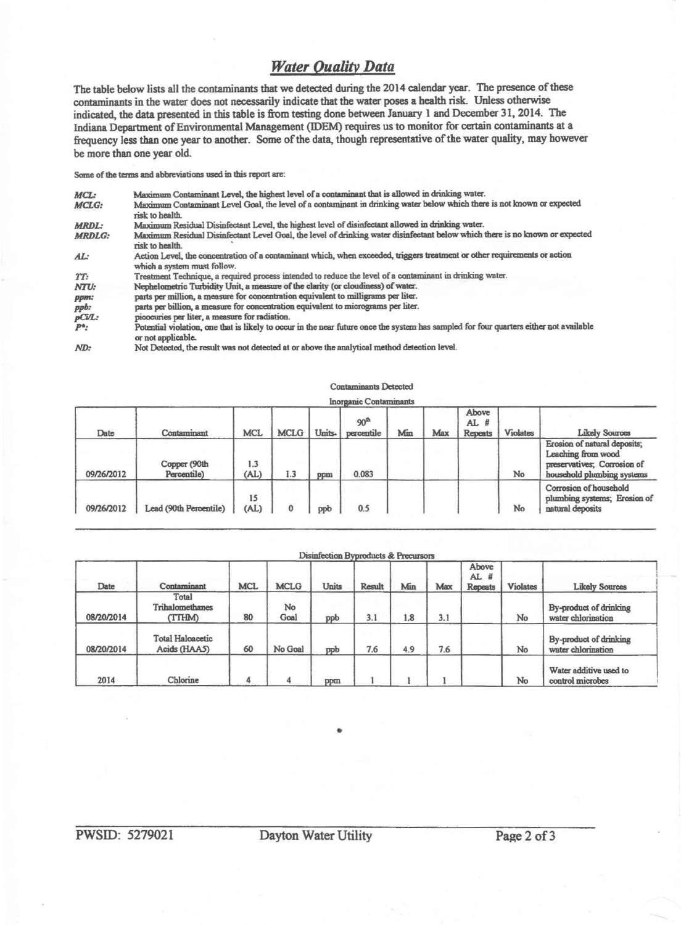# *Water Oualitv Data*

The table below lists all the contaminants that we detected during the 2014 calendar year. The presence of these contaminants in the water does not necessarily indicate that the water poses a health risk. Unless otherwise indicated, the data presented in this table is from testing done between January 1 and December 31, 2014. The Indiana Department of Environmental Management (IDEM) requires us to monitor for certain contaminants at a frequency less than one year to another. Some of the data, though representative of the water quality, may however be more than one year old

Some of the terms and abbreviations used in this report are:

| MCL:          | Maximum Contaminant Level, the highest level of a contaminant that is allowed in drinking water.                                                             |
|---------------|--------------------------------------------------------------------------------------------------------------------------------------------------------------|
| <b>MCLG:</b>  | Maximum Contaminant Level Goal, the level of a contaminant in drinking water below which there is not known or expected<br>risk to health.                   |
| <b>MRDL:</b>  | Maximum Residual Disinfectant Level, the highest level of disinfectant allowed in drinking water.                                                            |
| <b>MRDLG:</b> | Maximum Residual Disinfectant Level Goal, the level of drinking water disinfectant below which there is no known or expected<br>risk to health.              |
| AL:           | Action Level, the concentration of a contaminant which, when exceeded, triggers treatment or other requirements or action<br>which a system must follow.     |
| TT:           | Treatment Technique, a required process intended to reduce the level of a contaminant in drinking water.                                                     |
| NTU:          | Nephelometric Turbidity Unit, a measure of the clarity (or cloudiness) of water.                                                                             |
| ppm:          | parts per million, a measure for concentration equivalent to milligrams per liter.                                                                           |
| ppb:          | parts per billion, a measure for concentration equivalent to micrograms per liter.                                                                           |
| $pCi/L$ :     | picocuries per liter, a measure for radiation.                                                                                                               |
| $P^*$ :       | Potential violation, one that is likely to occur in the near future once the system has sampled for four quarters either not available<br>or not applicable. |
| ND:           | Not Detected, the result was not detected at or above the analytical method detection level.                                                                 |

### Contaminants Detected annia Contamina

| Date       | Contaminant                 | <b>MCL</b>  | <b>MCLG</b> | Units. | 90 <sup>th</sup><br>percentile | Min | Max | Above<br>AL #<br><b>Repeats</b> | Violates | <b>Likely Sources</b>                                                                                           |
|------------|-----------------------------|-------------|-------------|--------|--------------------------------|-----|-----|---------------------------------|----------|-----------------------------------------------------------------------------------------------------------------|
| 09/26/2012 | Copper (90th<br>Percentile) | 1.3<br>(AL) | 1.3         | ppm    | 0.083                          |     |     |                                 | No       | Erosion of natural deposits;<br>Leaching from wood<br>preservatives; Corrosion of<br>household plumbing systems |
| 09/26/2012 | Lead (90th Percentile)      | 15<br>(AL)  |             | ppb    | 0.5                            |     |     |                                 | No       | Corrosion of household<br>plumbing systems; Erosion of<br>natural deposits                                      |

|            |                                         |            |             |       | DISTRICCION PARIOGRAPHIC OC LIECTILIZOLE |     |     |                                 |                 |                                              |
|------------|-----------------------------------------|------------|-------------|-------|------------------------------------------|-----|-----|---------------------------------|-----------------|----------------------------------------------|
| Date       | Contaminant                             | <b>MCL</b> | <b>MCLG</b> | Units | <b>Result</b>                            | Min | Max | Above<br>AL #<br><b>Repeats</b> | <b>Violates</b> | <b>Likely Sources</b>                        |
| 08/20/2014 | Total<br>Trihalomethanes<br>(TTHM)      | 80         | No<br>Goal  | ppb   | 3.1                                      | 1.8 | 3.1 |                                 | No              | By-product of drinking<br>water chlorination |
| 08/20/2014 | <b>Total Haloacetic</b><br>Acids (HAA5) | 60         | No Goal     | ppb   | 7.6                                      | 4.9 | 7.6 |                                 | No              | By-product of drinking<br>water chlorination |
| 2014       | Chlorine                                |            |             | ppm   |                                          |     |     |                                 | No              | Water additive used to<br>control microbes   |

# Disinfection Burmoducts & Br

•